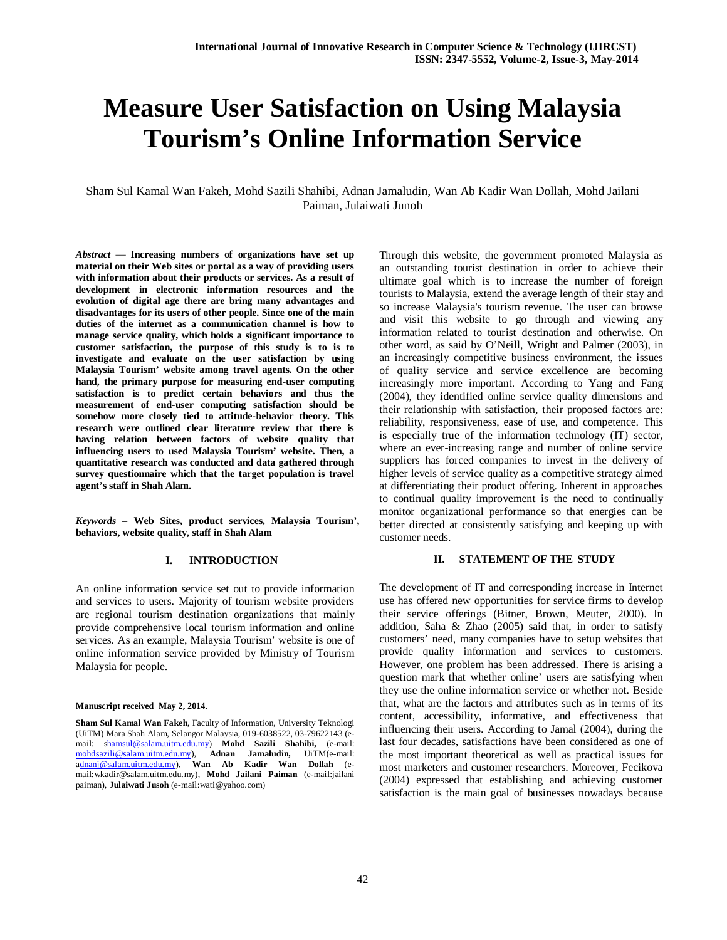# **Measure User Satisfaction on Using Malaysia Tourism's Online Information Service**

Sham Sul Kamal Wan Fakeh, Mohd Sazili Shahibi, Adnan Jamaludin, Wan Ab Kadir Wan Dollah, Mohd Jailani Paiman, Julaiwati Junoh

*Abstract* — **Increasing numbers of organizations have set up material on their Web sites or portal as a way of providing users with information about their products or services. As a result of development in electronic information resources and the evolution of digital age there are bring many advantages and disadvantages for its users of other people. Since one of the main duties of the internet as a communication channel is how to manage service quality, which holds a significant importance to customer satisfaction, the purpose of this study is to is to investigate and evaluate on the user satisfaction by using Malaysia Tourism' website among travel agents. On the other hand, the primary purpose for measuring end-user computing satisfaction is to predict certain behaviors and thus the measurement of end-user computing satisfaction should be somehow more closely tied to attitude-behavior theory. This research were outlined clear literature review that there is having relation between factors of website quality that influencing users to used Malaysia Tourism' website. Then, a quantitative research was conducted and data gathered through survey questionnaire which that the target population is travel agent's staff in Shah Alam.**

*Keywords* **– Web Sites, product services, Malaysia Tourism', behaviors, website quality, staff in Shah Alam**

#### **I. INTRODUCTION**

An online information service set out to provide information and services to users. Majority of tourism website providers are regional tourism destination organizations that mainly provide comprehensive local tourism information and online services. As an example, Malaysia Tourism' website is one of online information service provided by Ministry of Tourism Malaysia for people.

#### **Manuscript received May 2, 2014.**

Through this website, the government promoted Malaysia as an outstanding tourist destination in order to achieve their ultimate goal which is to increase the number of foreign tourists to Malaysia, extend the average length of their stay and so increase Malaysia's tourism revenue. The user can browse and visit this website to go through and viewing any information related to tourist destination and otherwise. On other word, as said by O'Neill, Wright and Palmer (2003), in an increasingly competitive business environment, the issues of quality service and service excellence are becoming increasingly more important. According to Yang and Fang (2004), they identified online service quality dimensions and their relationship with satisfaction, their proposed factors are: reliability, responsiveness, ease of use, and competence. This is especially true of the information technology (IT) sector, where an ever-increasing range and number of online service suppliers has forced companies to invest in the delivery of higher levels of service quality as a competitive strategy aimed at differentiating their product offering. Inherent in approaches to continual quality improvement is the need to continually monitor organizational performance so that energies can be better directed at consistently satisfying and keeping up with customer needs.

#### **II. STATEMENT OF THE STUDY**

The development of IT and corresponding increase in Internet use has offered new opportunities for service firms to develop their service offerings (Bitner, Brown, Meuter, 2000). In addition, Saha & Zhao (2005) said that, in order to satisfy customers' need, many companies have to setup websites that provide quality information and services to customers. However, one problem has been addressed. There is arising a question mark that whether online' users are satisfying when they use the online information service or whether not. Beside that, what are the factors and attributes such as in terms of its content, accessibility, informative, and effectiveness that influencing their users. According to Jamal (2004), during the last four decades, satisfactions have been considered as one of the most important theoretical as well as practical issues for most marketers and customer researchers. Moreover, Fecikova (2004) expressed that establishing and achieving customer satisfaction is the main goal of businesses nowadays because

**Sham Sul Kamal Wan Fakeh**, Faculty of Information, University Teknologi (UiTM) Mara Shah Alam, Selangor Malaysia, 019-6038522, 03-79622143 (email: shamsul@salam.uitm.edu.my) **Mohd Sazili Shahibi,** (e-mail: mohdsazili@salam.uitm.edu.my), **Adnan Jamaludin,** UiTM(e-mail: adnanj@salam.uitm.edu.my), **Wan Ab Kadir Wan Dollah** (email:wkadir@salam.uitm.edu.my), **Mohd Jailani Paiman** (e-mail:jailani paiman), **Julaiwati Jusoh** (e-mail:wati@yahoo.com)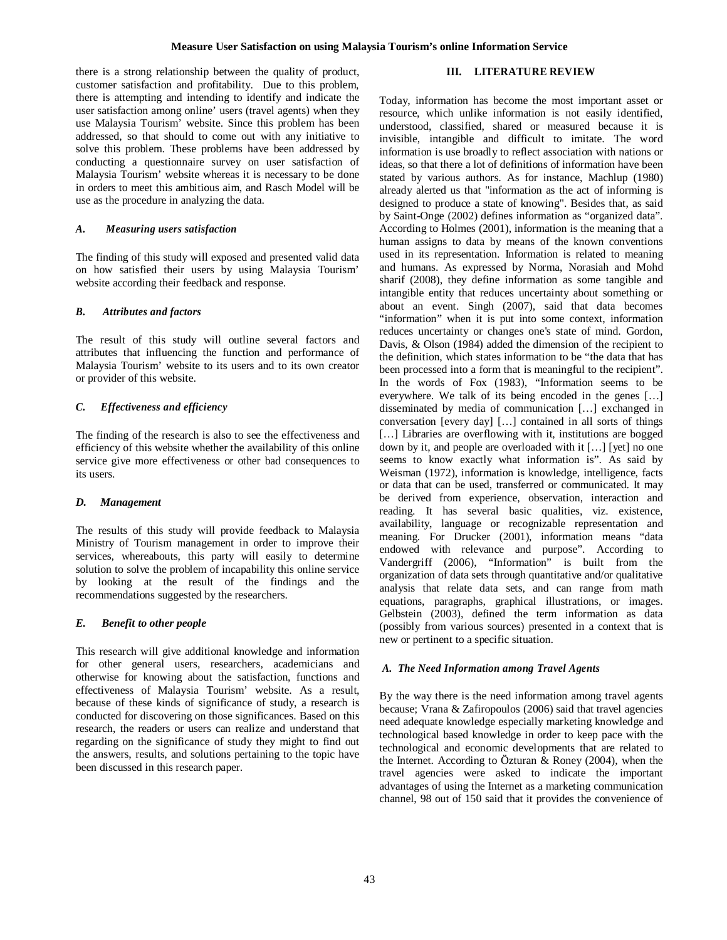there is a strong relationship between the quality of product, customer satisfaction and profitability. Due to this problem, there is attempting and intending to identify and indicate the user satisfaction among online' users (travel agents) when they use Malaysia Tourism' website. Since this problem has been addressed, so that should to come out with any initiative to solve this problem. These problems have been addressed by conducting a questionnaire survey on user satisfaction of Malaysia Tourism' website whereas it is necessary to be done in orders to meet this ambitious aim, and Rasch Model will be use as the procedure in analyzing the data.

## *A. Measuring users satisfaction*

The finding of this study will exposed and presented valid data on how satisfied their users by using Malaysia Tourism' website according their feedback and response.

## *B. Attributes and factors*

The result of this study will outline several factors and attributes that influencing the function and performance of Malaysia Tourism' website to its users and to its own creator or provider of this website.

## *C. Effectiveness and efficiency*

The finding of the research is also to see the effectiveness and efficiency of this website whether the availability of this online service give more effectiveness or other bad consequences to its users.

## *D. Management*

The results of this study will provide feedback to Malaysia Ministry of Tourism management in order to improve their services, whereabouts, this party will easily to determine solution to solve the problem of incapability this online service by looking at the result of the findings and the recommendations suggested by the researchers.

## *E. Benefit to other people*

This research will give additional knowledge and information for other general users, researchers, academicians and otherwise for knowing about the satisfaction, functions and effectiveness of Malaysia Tourism' website. As a result, because of these kinds of significance of study, a research is conducted for discovering on those significances. Based on this research, the readers or users can realize and understand that regarding on the significance of study they might to find out the answers, results, and solutions pertaining to the topic have been discussed in this research paper.

## **III. LITERATURE REVIEW**

Today, information has become the most important asset or resource, which unlike information is not easily identified, understood, classified, shared or measured because it is invisible, intangible and difficult to imitate. The word information is use broadly to reflect association with nations or ideas, so that there a lot of definitions of information have been stated by various authors. As for instance, Machlup (1980) already alerted us that "information as the act of informing is designed to produce a state of knowing". Besides that, as said by Saint-Onge (2002) defines information as "organized data". According to Holmes (2001), information is the meaning that a human assigns to data by means of the known conventions used in its representation. Information is related to meaning and humans. As expressed by Norma, Norasiah and Mohd sharif (2008), they define information as some tangible and intangible entity that reduces uncertainty about something or about an event. Singh (2007), said that data becomes "information" when it is put into some context, information reduces uncertainty or changes one's state of mind. Gordon, Davis, & Olson (1984) added the dimension of the recipient to the definition, which states information to be "the data that has been processed into a form that is meaningful to the recipient". In the words of Fox (1983), "Information seems to be everywhere. We talk of its being encoded in the genes […] disseminated by media of communication […] exchanged in conversation [every day] […] contained in all sorts of things [...] Libraries are overflowing with it, institutions are bogged down by it, and people are overloaded with it […] [yet] no one seems to know exactly what information is". As said by Weisman (1972), information is knowledge, intelligence, facts or data that can be used, transferred or communicated. It may be derived from experience, observation, interaction and reading. It has several basic qualities, viz. existence, availability, language or recognizable representation and meaning. For Drucker (2001), information means "data endowed with relevance and purpose". According to Vandergriff (2006), "Information" is built from the organization of data sets through quantitative and/or qualitative analysis that relate data sets, and can range from math equations, paragraphs, graphical illustrations, or images. Gelbstein (2003), defined the term information as data (possibly from various sources) presented in a context that is new or pertinent to a specific situation.

#### *A. The Need Information among Travel Agents*

By the way there is the need information among travel agents because; Vrana & Zafiropoulos (2006) said that travel agencies need adequate knowledge especially marketing knowledge and technological based knowledge in order to keep pace with the technological and economic developments that are related to the Internet. According to Özturan & Roney (2004), when the travel agencies were asked to indicate the important advantages of using the Internet as a marketing communication channel, 98 out of 150 said that it provides the convenience of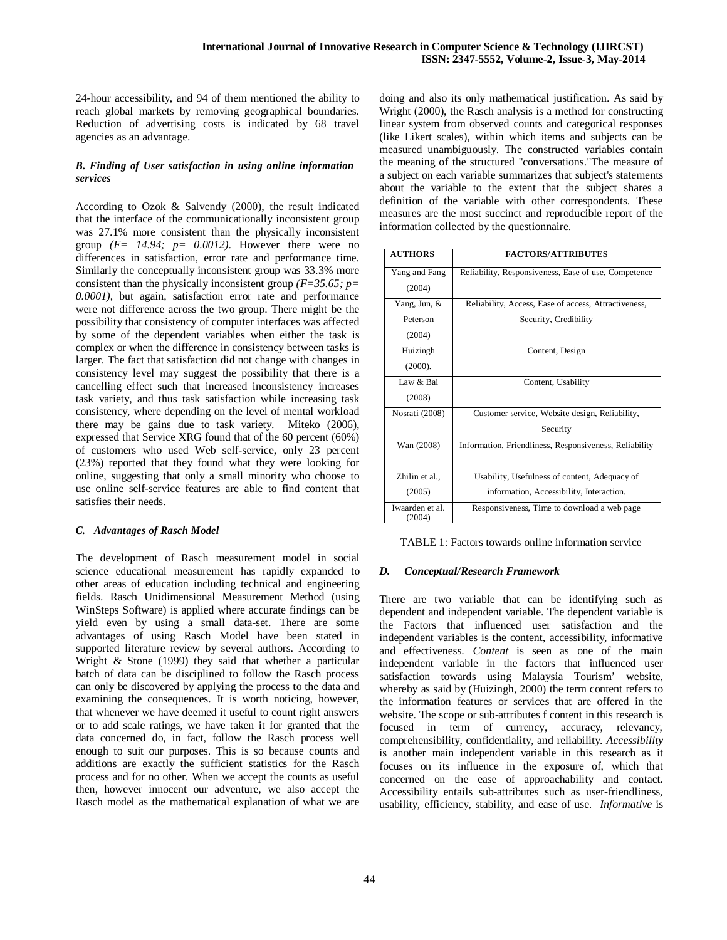24-hour accessibility, and 94 of them mentioned the ability to reach global markets by removing geographical boundaries. Reduction of advertising costs is indicated by 68 travel agencies as an advantage.

## *B. Finding of User satisfaction in using online information services*

According to Ozok & Salvendy (2000), the result indicated that the interface of the communicationally inconsistent group was 27.1% more consistent than the physically inconsistent group  $(F= 14.94; p= 0.0012)$ . However there were no differences in satisfaction, error rate and performance time. Similarly the conceptually inconsistent group was 33.3% more consistent than the physically inconsistent group *(F=35.65; p= 0.0001)*, but again, satisfaction error rate and performance were not difference across the two group. There might be the possibility that consistency of computer interfaces was affected by some of the dependent variables when either the task is complex or when the difference in consistency between tasks is larger. The fact that satisfaction did not change with changes in consistency level may suggest the possibility that there is a cancelling effect such that increased inconsistency increases task variety, and thus task satisfaction while increasing task consistency, where depending on the level of mental workload there may be gains due to task variety. Miteko (2006), expressed that Service XRG found that of the 60 percent (60%) of customers who used Web self-service, only 23 percent (23%) reported that they found what they were looking for online, suggesting that only a small minority who choose to use online self-service features are able to find content that satisfies their needs.

## *C. Advantages of Rasch Model*

The development of Rasch measurement model in social science educational measurement has rapidly expanded to other areas of education including technical and engineering fields. Rasch Unidimensional Measurement Method (using WinSteps Software) is applied where accurate findings can be yield even by using a small data-set. There are some advantages of using Rasch Model have been stated in supported literature review by several authors. According to Wright & Stone (1999) they said that whether a particular batch of data can be disciplined to follow the Rasch process can only be discovered by applying the process to the data and examining the consequences. It is worth noticing, however, that whenever we have deemed it useful to count right answers or to add scale ratings, we have taken it for granted that the data concerned do, in fact, follow the Rasch process well enough to suit our purposes. This is so because counts and additions are exactly the sufficient statistics for the Rasch process and for no other. When we accept the counts as useful then, however innocent our adventure, we also accept the Rasch model as the mathematical explanation of what we are

doing and also its only mathematical justification. As said by Wright (2000), the Rasch analysis is a method for constructing linear system from observed counts and categorical responses (like Likert scales), within which items and subjects can be measured unambiguously. The constructed variables contain the meaning of the structured "conversations."The measure of a subject on each variable summarizes that subject's statements about the variable to the extent that the subject shares a definition of the variable with other correspondents. These measures are the most succinct and reproducible report of the information collected by the questionnaire.

| <b>AUTHORS</b>            | <b>FACTORS/ATTRIBUTES</b>                              |
|---------------------------|--------------------------------------------------------|
| Yang and Fang             | Reliability, Responsiveness, Ease of use, Competence   |
| (2004)                    |                                                        |
| Yang, Jun, &              | Reliability, Access, Ease of access, Attractiveness,   |
| Peterson                  | Security, Credibility                                  |
| (2004)                    |                                                        |
| Huizingh                  | Content, Design                                        |
| (2000).                   |                                                        |
| Law & Bai                 | Content, Usability                                     |
| (2008)                    |                                                        |
| Nosrati (2008)            | Customer service, Website design, Reliability,         |
|                           | Security                                               |
| Wan (2008)                | Information, Friendliness, Responsiveness, Reliability |
|                           |                                                        |
| Zhilin et al.,            | Usability, Usefulness of content, Adequacy of          |
| (2005)                    | information, Accessibility, Interaction.               |
| Iwaarden et al.<br>(2004) | Responsiveness, Time to download a web page            |

TABLE 1: Factors towards online information service

# *D. Conceptual/Research Framework*

There are two variable that can be identifying such as dependent and independent variable. The dependent variable is the Factors that influenced user satisfaction and the independent variables is the content, accessibility, informative and effectiveness. *Content* is seen as one of the main independent variable in the factors that influenced user satisfaction towards using Malaysia Tourism' website, whereby as said by (Huizingh, 2000) the term content refers to the information features or services that are offered in the website. The scope or sub-attributes f content in this research is focused in term of currency, accuracy, relevancy, comprehensibility, confidentiality, and reliability. *Accessibility* is another main independent variable in this research as it focuses on its influence in the exposure of, which that concerned on the ease of approachability and contact. Accessibility entails sub-attributes such as user-friendliness, usability, efficiency, stability, and ease of use. *Informative* is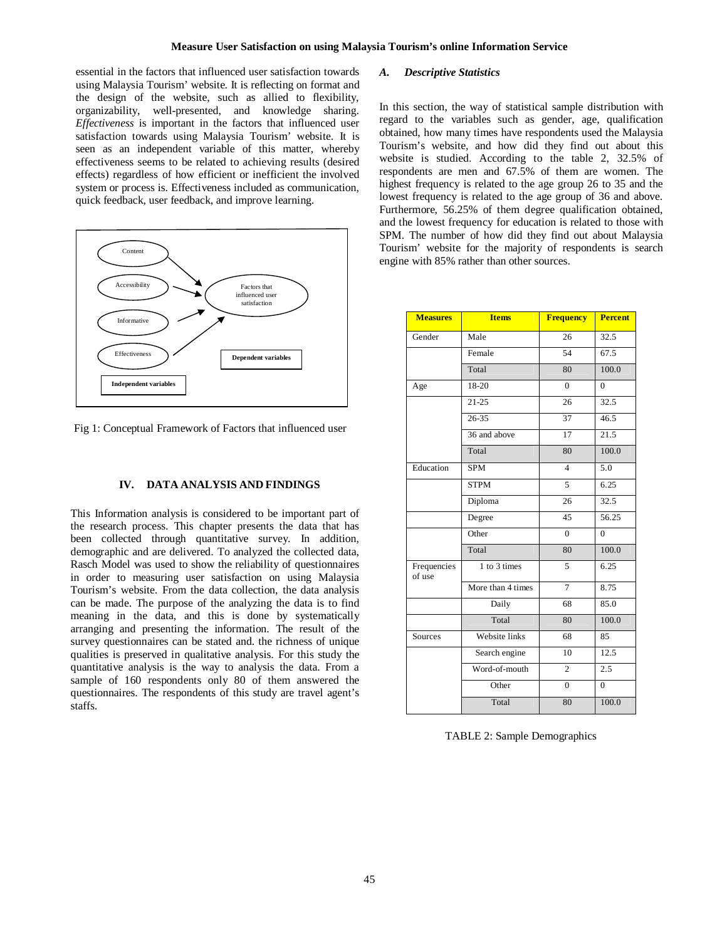essential in the factors that influenced user satisfaction towards using Malaysia Tourism' website. It is reflecting on format and the design of the website, such as allied to flexibility, organizability, well-presented, and knowledge sharing. *Effectiveness* is important in the factors that influenced user satisfaction towards using Malaysia Tourism' website. It is seen as an independent variable of this matter, whereby effectiveness seems to be related to achieving results (desired effects) regardless of how efficient or inefficient the involved system or process is. Effectiveness included as communication, quick feedback, user feedback, and improve learning.



Fig 1: Conceptual Framework of Factors that influenced user

#### **IV. DATA ANALYSIS AND FINDINGS**

This Information analysis is considered to be important part of the research process. This chapter presents the data that has been collected through quantitative survey. In addition, demographic and are delivered. To analyzed the collected data, Rasch Model was used to show the reliability of questionnaires in order to measuring user satisfaction on using Malaysia Tourism's website. From the data collection, the data analysis can be made. The purpose of the analyzing the data is to find meaning in the data, and this is done by systematically arranging and presenting the information. The result of the survey questionnaires can be stated and. the richness of unique qualities is preserved in qualitative analysis. For this study the quantitative analysis is the way to analysis the data. From a sample of 160 respondents only 80 of them answered the questionnaires. The respondents of this study are travel agent's staffs.

## *A. Descriptive Statistics*

In this section, the way of statistical sample distribution with regard to the variables such as gender, age, qualification obtained, how many times have respondents used the Malaysia Tourism's website, and how did they find out about this website is studied. According to the table 2, 32.5% of respondents are men and 67.5% of them are women. The highest frequency is related to the age group 26 to 35 and the lowest frequency is related to the age group of 36 and above. Furthermore, 56.25% of them degree qualification obtained, and the lowest frequency for education is related to those with SPM. The number of how did they find out about Malaysia Tourism' website for the majority of respondents is search engine with 85% rather than other sources.

| <b>Measures</b>       | <b>Items</b>      | <b>Frequency</b> | <b>Percent</b> |  |
|-----------------------|-------------------|------------------|----------------|--|
| Gender                | Male              | 26               | 32.5           |  |
|                       | Female            | 54               | 67.5           |  |
|                       | Total             | 80               | 100.0          |  |
| Age                   | 18-20             | $\theta$         | $\theta$       |  |
|                       | $21 - 25$         | 26               | 32.5           |  |
|                       | $26 - 35$         | 37               | 46.5           |  |
|                       | 36 and above      | 17               | 21.5           |  |
|                       | Total             | 80               | 100.0          |  |
| Education             | <b>SPM</b>        | $\overline{4}$   | 5.0            |  |
|                       | <b>STPM</b>       | 5                | 6.25           |  |
|                       | Diploma           | 26               | 32.5           |  |
|                       | Degree            | 45               | 56.25          |  |
|                       | Other             | $\Omega$         | $\overline{0}$ |  |
|                       | Total             | 80               | 100.0          |  |
| Frequencies<br>of use | 1 to 3 times      | 5                | 6.25           |  |
|                       | More than 4 times | $\overline{7}$   | 8.75           |  |
|                       | Daily             | 68               | 85.0           |  |
|                       | Total             | 80               | 100.0          |  |
| Sources               | Website links     | 68               | 85             |  |
|                       | Search engine     | 10               | 12.5           |  |
|                       | Word-of-mouth     | $\overline{c}$   | 2.5            |  |
|                       | Other             | $\theta$         | $\overline{0}$ |  |
|                       | Total             | 80               | 100.0          |  |

TABLE 2: Sample Demographics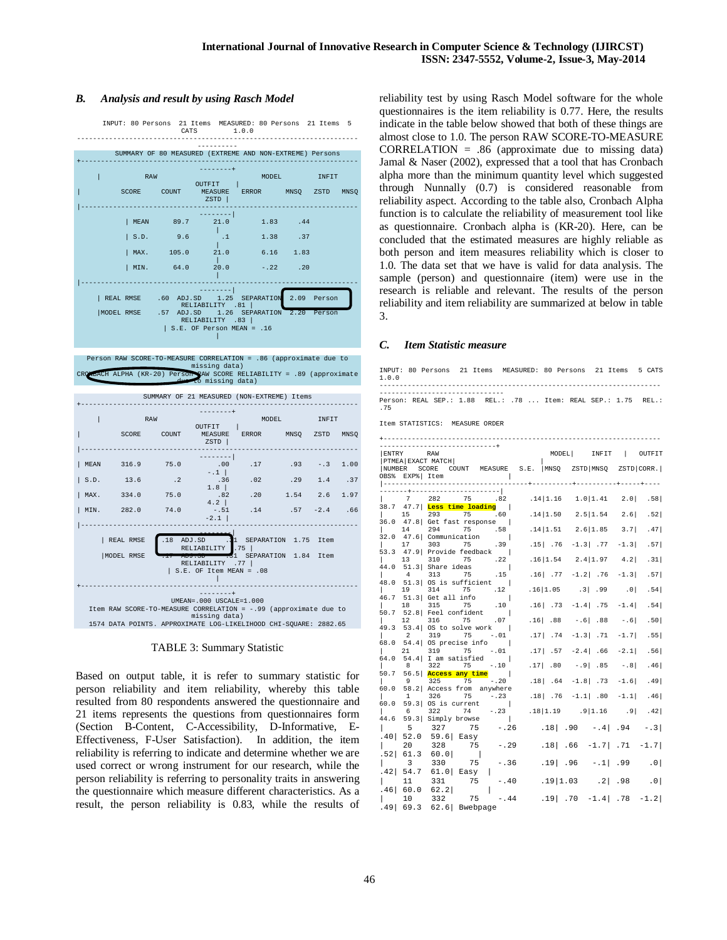## *B. Analysis and result by using Rasch Model*



| MIN. | 282.0                                                             | 74.0          | $-.51$<br>$-2.1$          | .14                  | $.57 - .2.4$ | .66 |
|------|-------------------------------------------------------------------|---------------|---------------------------|----------------------|--------------|-----|
|      |                                                                   |               |                           |                      |              |     |
|      | REAL RMSE                                                         | .18<br>ADJ.SD | RELIABILITY<br>.75        | SEPARATION 1.75 Item |              |     |
|      | MODEL RMSE                                                        |               | .77<br>RELIABILITY        | SEPARATION 1.84 Item |              |     |
|      |                                                                   |               | $S.E. OF Item MEAN = .08$ |                      |              |     |
|      |                                                                   |               |                           |                      |              |     |
|      |                                                                   |               | UMEAN=.000 USCALE=1.000   |                      |              |     |
|      | Item RAW SCORE-TO-MEASURE CORRELATION = -. 99 (approximate due to |               | missing data)             |                      |              |     |
|      | 1574 DATA POINTS. APPROXIMATE LOG-LIKELIHOOD CHI-SOUARE: 2882.65  |               |                           |                      |              |     |

TABLE 3: Summary Statistic

Based on output table, it is refer to summary statistic for person reliability and item reliability, whereby this table resulted from 80 respondents answered the questionnaire and 21 items represents the questions from questionnaires form (Section B-Content, C-Accessibility, D-Informative, E-Effectiveness, F-User Satisfaction). In addition, the item reliability is referring to indicate and determine whether we are used correct or wrong instrument for our research, while the person reliability is referring to personality traits in answering the questionnaire which measure different characteristics. As a result, the person reliability is 0.83, while the results of reliability test by using Rasch Model software for the whole questionnaires is the item reliability is 0.77. Here, the results indicate in the table below showed that both of these things are almost close to 1.0. The person RAW SCORE-TO-MEASURE CORRELATION = .86 (approximate due to missing data) Jamal & Naser (2002), expressed that a tool that has Cronbach alpha more than the minimum quantity level which suggested through Nunnally (0.7) is considered reasonable from reliability aspect. According to the table also, Cronbach Alpha function is to calculate the reliability of measurement tool like as questionnaire. Cronbach alpha is (KR-20). Here, can be concluded that the estimated measures are highly reliable as both person and item measures reliability which is closer to 1.0. The data set that we have is valid for data analysis. The sample (person) and questionnaire (item) were use in the research is reliable and relevant. The results of the person reliability and item reliability are summarized at below in table 3.

## *C. Item Statistic measure*

| INPUT: 80 Persons 21 Items MEASURED: 80 Persons 21 Items 5 CATS<br>1.0.0     |                                             |
|------------------------------------------------------------------------------|---------------------------------------------|
|                                                                              |                                             |
| Person: REAL SEP.: 1.88 REL.: .78  Item: REAL SEP.: 1.75 REL.:<br>.75        |                                             |
| Item STATISTICS: MEASURE ORDER                                               |                                             |
|                                                                              |                                             |
| <b>ENTRY</b><br>RAW                                                          | MODEL<br>INFIT<br>$\Box$<br>OUTFIT          |
| PTMEA EXACT MATCH                                                            |                                             |
| NUMBER SCORE COUNT MEASURE S.E. MNSQ ZSTD MNSQ ZSTD CORR.<br>OBS% EXP% Item  |                                             |
| ----------------------------                                                 | ---+-----------+-----------+-----+----      |
| 282 75 .82<br>7                                                              | $.14 1.16$ 1.0   1.41 2.0   .58             |
| 47.7  <mark>Less time loading</mark><br>38.7                                 |                                             |
| 293<br>75 .60<br>$\mathbf{L}$<br>15<br>36.0 47.8 Get fast response           | $.14 1.50 \t2.5 1.54 \t2.6 $ .52            |
| 75 .58<br>14<br>294                                                          | $.14 1.51 \t2.6 1.85 \t3.7 $ .47            |
| 32.0<br>47.6 Communication<br>303<br>17<br>75<br>.39                         | $.15$   .76 $-1.3$   .77 $-1.3$   .57       |
| 47.9 Provide feedback  <br>53.3                                              |                                             |
| 75<br>13<br>310<br>$\overline{22}$<br>$51.3$ Share ideas<br>44.0<br>$\sim$ 1 | $.16 1.54$ 2.4   1.97<br>4.2<br>.31         |
| 4<br>313<br>75<br>.15                                                        | $.16$   .77 -1.2   .76 -1.3   .57           |
| $51.3$ OS is sufficient  <br>48.0<br>314 75<br>$\overline{12}$<br>ι.<br>19   | .16 1.05<br>$.3$ $.99$<br>.0<br>.54         |
| $51.3$ Get all info<br>46.7                                                  |                                             |
| .10<br>18<br>315<br>75                                                       | $.16$   $.73$ -1.4   $.75$<br>.54<br>$-1.4$ |
| 52.8 Feel confident<br>50.7<br>316<br>75<br>$12^{\circ}$<br>.07              | $.16$ $.88$ $-.6$ $.88$<br>.50 <br>$- . 6$  |
| 53.4 OS to solve work  <br>49.3<br>$\overline{a}$<br>319<br>75<br>$-0.01$    | .17   .74 -1.3   .71<br>.55                 |
| 54.4 OS precise info  <br>68.0                                               | $-1.7$                                      |
| 319<br>$21 -$<br>75<br>$-0.01$                                               | $.17$   .57 -2.4  .66 -2.1  .56             |
| 54.4 I am satisfied<br>$\sim$ 1<br>64.0<br>322 75<br>$-.10$<br>8             | $.17$   .80<br>$-.9$ .85<br>$-0.8$<br>.46   |
| 56.5 Access any time<br>50.7                                                 |                                             |
| 75<br>325<br>9<br>-.20<br>60.0<br>58.2 Access from anywhere                  | $.18$   $.64$ -1.8   .73<br>$-1.6$ . 49     |
| 326<br>75<br>$-0.23$<br>1.                                                   | $.18$ $.76$ $-1.1$ $.80$ $-1.1$<br>.46      |
| 60.0<br>59.3 OS is current<br>$\sim 1$<br>$- 0.23$<br>322<br>74<br>б.        | $.18 1.19$ .9 $ 1.16$ .9 .42                |
| 59.3 Simply browse<br>44.6                                                   |                                             |
| 327 75<br>5<br>$-.26$<br>52.0<br>$59.6$ Easy<br>. 40                         | $.18$ .90 -.4. .94 -.3.                     |
| 75<br>20<br>328<br>$-.29$                                                    | $.18$ $.66$ $-1.7$ $.71$ $-1.7$             |
| .52 <br>61.3<br>60.0                                                         |                                             |
| $-.36$<br>$\overline{\mathbf{3}}$<br>330<br>75                               | $.19$ .96 $-.1$ .99 .0                      |
| 54.7<br>$61.0$ Easy<br>. 42  <br>331 75<br>11                                | $-40$ . 19   1.03 . 2   .98 . 0             |
| . 46  <br>60.0<br>62.2                                                       |                                             |
| 75<br>10<br>332                                                              | $-44$ .19 .70 $-1.4$ .78 $-1.2$             |
| .491<br>69.3<br>62.6 Bwebpage                                                |                                             |
|                                                                              |                                             |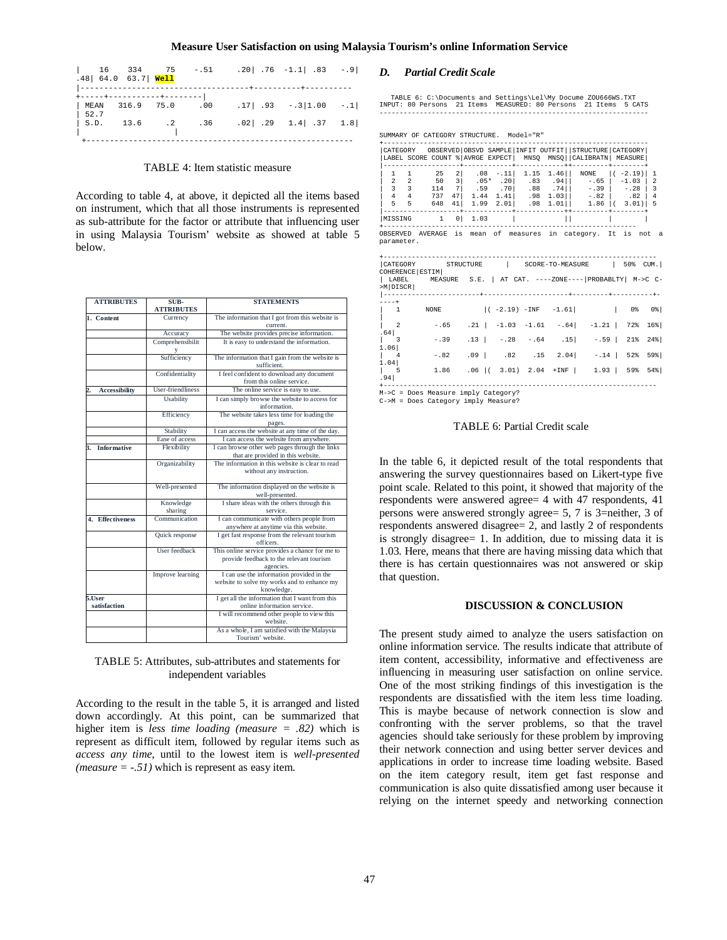| $.48$ 64.0 63.7 Well                                                |  | $\begin{vmatrix} 16 & 334 & 75 & -.51 & .20 & .76 & -1.1 & .83 & -.9 \end{vmatrix}$  | --+----------+--------- |  |
|---------------------------------------------------------------------|--|--------------------------------------------------------------------------------------|-------------------------|--|
| +-----+-----------+-------- <br>MEAN 316.9 75.0 .00<br>$\vert$ 52.7 |  | $.17$ $.93$ $-.3$ $ 1.00$ $-.1$                                                      |                         |  |
|                                                                     |  | $\begin{bmatrix} S.D. & 13.6 & .2 & .36 & .02 & .29 & 1.4 & .37 & 1.8 \end{bmatrix}$ |                         |  |

#### TABLE 4: Item statistic measure

According to table 4, at above, it depicted all the items based on instrument, which that all those instruments is represented as sub-attribute for the factor or attribute that influencing user in using Malaysia Tourism' website as showed at table 5 below.

| <b>ATTRIBUTES</b>         | SUB-                 | <b>STATEMENTS</b>                                                                                        |
|---------------------------|----------------------|----------------------------------------------------------------------------------------------------------|
|                           | <b>ATTRIBUTES</b>    |                                                                                                          |
| 1. Content                | Currency             | The information that I got from this website is<br>current.                                              |
|                           | Accuracy             | The website provides precise information.                                                                |
|                           | Comprehensibilit     | It is easy to understand the information.                                                                |
|                           | Sufficiency          | The information that I gain from the website is<br>sufficient.                                           |
|                           | Confidentiality      | I feel confident to download any document<br>from this online service.                                   |
| <b>Accessibility</b>      | User-friendliness    | The online service is easy to use.                                                                       |
|                           | Usability            | I can simply browse the website to access for<br>information.                                            |
|                           | Efficiency           | The website takes less time for loading the<br>pages.                                                    |
|                           | Stability            | I can access the website at any time of the day.                                                         |
|                           | Ease of access       | I can access the website from anywhere.                                                                  |
| <b>Informative</b><br>3.  | Flexibility          | I can browse other web pages through the links<br>that are provided in this website.                     |
|                           | Organizability       | The information in this website is clear to read<br>without any instruction.                             |
|                           | Well-presented       | The information displayed on the website is<br>well-presented.                                           |
|                           | Knowledge<br>sharing | I share ideas with the others through this<br>service.                                                   |
| 4. Effectiveness          | Communication        | I can communicate with others people from<br>anywhere at anytime via this website.                       |
|                           | Quick response       | I get fast response from the relevant tourism<br>officers.                                               |
|                           | User feedback        | This online service provides a chance for me to<br>provide feedback to the relevant tourism<br>agencies. |
|                           | Improve learning     | I can use the information provided in the<br>website to solve my works and to enhance my<br>knowledge.   |
| $5.$ User<br>satisfaction |                      | I get all the information that I want from this<br>online information service.                           |
|                           |                      | I will recommend other people to view this<br>website.                                                   |
|                           |                      | As a whole, I am satisfied with the Malaysia<br>Tourism' website.                                        |

| TABLE 5: Attributes, sub-attributes and statements for |  |
|--------------------------------------------------------|--|
| independent variables                                  |  |

According to the result in the table 5, it is arranged and listed down accordingly. At this point, can be summarized that higher item is *less time loading (measure = .82)* which is represent as difficult item, followed by regular items such as *access any time*, until to the lowest item is *well-presented (measure = -.51)* which is represent as easy item.

## *D. Partial Credit Scale*

 TABLE 6: C:\Documents and Settings\Lel\My Docume ZOU666WS.TXT INPUT: 80 Persons 21 Items MEASURED: 80 Persons 21 Items 5 CATS -------------------------------------------------------------------

|                                                                                                                                                                        |                                                                             | SUMMARY OF CATEGORY STRUCTURE. Model="R"                                                                                                     |                |         |                         |  |                           |  |                                                                                                                                                                   |                                                                                                                                                                                                                               |                   |
|------------------------------------------------------------------------------------------------------------------------------------------------------------------------|-----------------------------------------------------------------------------|----------------------------------------------------------------------------------------------------------------------------------------------|----------------|---------|-------------------------|--|---------------------------|--|-------------------------------------------------------------------------------------------------------------------------------------------------------------------|-------------------------------------------------------------------------------------------------------------------------------------------------------------------------------------------------------------------------------|-------------------|
|                                                                                                                                                                        |                                                                             | CATEGORY OBSERVED OBSVD SAMPLE   INFIT OUTFIT   STRUCTURE   CATEGORY  <br>LABEL SCORE COUNT % AVRGE EXPECT   MNSO MNSO   CALIBRATN   MEASURE |                |         |                         |  | --------- <b>------</b> - |  |                                                                                                                                                                   |                                                                                                                                                                                                                               |                   |
| 1.                                                                                                                                                                     | $\overline{1}$                                                              | 25 2   .08 -.11   1.15 1.46   NONE   ( -2.19)   1                                                                                            |                |         |                         |  |                           |  |                                                                                                                                                                   |                                                                                                                                                                                                                               |                   |
| $\overline{a}$<br>3                                                                                                                                                    | 2                                                                           | $50 \t31$<br>3 114                                                                                                                           | 7 <sup>1</sup> |         | $.59$ $.70$ $.88$ $.74$ |  |                           |  | $.05*$ $.20$ $.83$ $.94$ $.65$ $.103$ $.2$<br>$-0.39$                                                                                                             | $-.28$                                                                                                                                                                                                                        | $\overline{3}$    |
| $\overline{4}$                                                                                                                                                         | 4                                                                           | 737 47 1.44 1.41 198 1.03   1.82   1.82   4                                                                                                  |                |         |                         |  |                           |  |                                                                                                                                                                   |                                                                                                                                                                                                                               |                   |
|                                                                                                                                                                        |                                                                             | 5 5 648 41                                                                                                                                   |                |         |                         |  |                           |  | $1.99$ $2.01$ $.98$ $1.01$   $1.86$   ( $3.01$ )   5<br>. _ _ _ _ _ _ + _ _ _ _ _ _ _ _ _ _ _ + _ _ _ _ _ _ _ _ _ _ _ _ _ + + _ _ _ _ _ _ + _ _ _ _ _ + _ _ _ _ + |                                                                                                                                                                                                                               |                   |
|                                                                                                                                                                        |                                                                             | MISSING 1                                                                                                                                    |                | 0  1.03 |                         |  |                           |  |                                                                                                                                                                   |                                                                                                                                                                                                                               |                   |
|                                                                                                                                                                        | OBSERVED AVERAGE is mean of measures in category. It is not a<br>parameter. |                                                                                                                                              |                |         |                         |  |                           |  |                                                                                                                                                                   |                                                                                                                                                                                                                               |                   |
| CATEGORY STRUCTURE   SCORE-TO-MEASURE   50% CUM.<br>COHERENCE   ESTIM  <br>  LABEL MEASURE S.E.   AT CAT. ----ZONE----   PROBABLTY   M->C C-<br>>M DISCR<br>---------- |                                                                             |                                                                                                                                              |                |         |                         |  |                           |  |                                                                                                                                                                   |                                                                                                                                                                                                                               |                   |
| $- - - +$                                                                                                                                                              |                                                                             |                                                                                                                                              |                |         |                         |  |                           |  |                                                                                                                                                                   |                                                                                                                                                                                                                               |                   |
|                                                                                                                                                                        |                                                                             | 1 NONE                                                                                                                                       |                |         |                         |  |                           |  | $ (-2.19) - INF -1.61 $                                                                                                                                           | $  0$ $  0$ $  0$ $  0$ $  0$ $  0$ $  0$ $  0$ $  0$ $  0$ $  0$ $  0$ $  0$ $  0$ $  0$ $  0$ $  0$ $  0$ $  0$ $  0$ $  0$ $  0$ $  0$ $  0$ $  0$ $  0$ $  0$ $  0$ $  0$ $  0$ $  0$ $  0$ $  0$ $  0$ $  0$ $  0$ $  0$ |                   |
| $\overline{2}$                                                                                                                                                         |                                                                             |                                                                                                                                              |                |         |                         |  |                           |  | $-0.65$ . 21   $-1.03$ $-1.61$ $-0.64$   $-1.21$   $72\$                                                                                                          |                                                                                                                                                                                                                               | $16$ <sup>8</sup> |
| $.64$  <br>$\overline{\phantom{a}}$                                                                                                                                    |                                                                             |                                                                                                                                              |                |         |                         |  |                           |  | $-.39$ $.13$ $-.28$ $-.64$ $.15$ $-.59$ $.21$                                                                                                                     |                                                                                                                                                                                                                               | $24$ $ $          |
| 1.06<br>$\sim$ 4                                                                                                                                                       |                                                                             |                                                                                                                                              |                |         |                         |  |                           |  | $-.82$ $.09$   $.82$ $.15$ $.2.04$   $-.14$   $52\%$                                                                                                              |                                                                                                                                                                                                                               | 59%               |
| 1.04<br>$\vert$ 5<br>.94                                                                                                                                               |                                                                             | $1.86$ $.06$ $($ $3.01)$ $2.04$ $+$ INF $($ $1.93$ $ $ 59%                                                                                   |                |         |                         |  |                           |  |                                                                                                                                                                   |                                                                                                                                                                                                                               | 54%               |
|                                                                                                                                                                        |                                                                             | M->C = Does Measure imply Category?                                                                                                          |                |         |                         |  |                           |  |                                                                                                                                                                   |                                                                                                                                                                                                                               |                   |
|                                                                                                                                                                        |                                                                             | C->M = Does Category imply Measure?                                                                                                          |                |         |                         |  |                           |  |                                                                                                                                                                   |                                                                                                                                                                                                                               |                   |

#### TABLE 6: Partial Credit scale

In the table 6, it depicted result of the total respondents that answering the survey questionnaires based on Likert-type five point scale. Related to this point, it showed that majority of the respondents were answered agree= 4 with 47 respondents, 41 persons were answered strongly agree= 5, 7 is 3=neither, 3 of respondents answered disagree= 2, and lastly 2 of respondents is strongly disagree= 1. In addition, due to missing data it is 1.03. Here, means that there are having missing data which that there is has certain questionnaires was not answered or skip that question.

## **DISCUSSION & CONCLUSION**

The present study aimed to analyze the users satisfaction on online information service. The results indicate that attribute of item content, accessibility, informative and effectiveness are influencing in measuring user satisfaction on online service. One of the most striking findings of this investigation is the respondents are dissatisfied with the item less time loading. This is maybe because of network connection is slow and confronting with the server problems, so that the travel agencies should take seriously for these problem by improving their network connection and using better server devices and applications in order to increase time loading website. Based on the item category result, item get fast response and communication is also quite dissatisfied among user because it relying on the internet speedy and networking connection